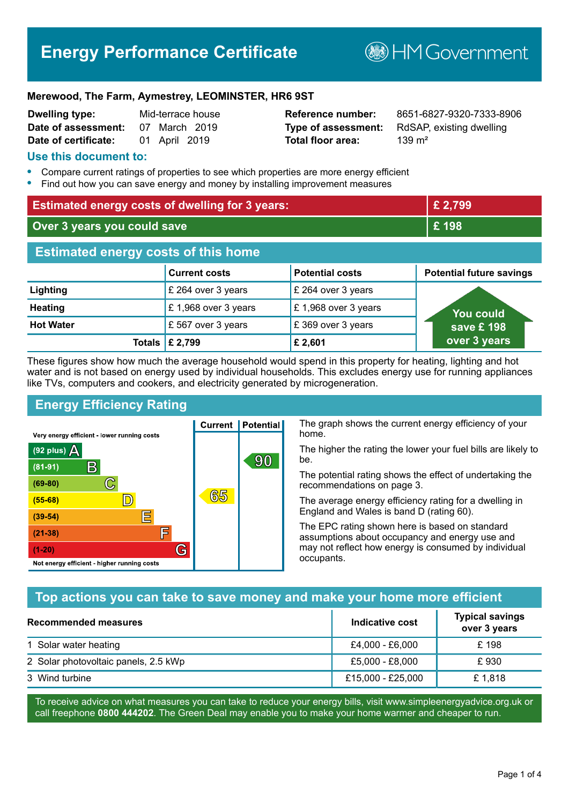# **Energy Performance Certificate**

**B**HM Government

#### **Merewood, The Farm, Aymestrey, LEOMINSTER, HR6 9ST**

| <b>Dwelling type:</b> |               | Mid-terrace house |
|-----------------------|---------------|-------------------|
| Date of assessment:   |               | 07 March 2019     |
| Date of certificate:  | 01 April 2019 |                   |

# **Total floor area:** 139 m<sup>2</sup>

**Reference number:** 8651-6827-9320-7333-8906 **Type of assessment:** RdSAP, existing dwelling

#### **Use this document to:**

- **•** Compare current ratings of properties to see which properties are more energy efficient
- **•** Find out how you can save energy and money by installing improvement measures

| <b>Estimated energy costs of dwelling for 3 years:</b> |                           |                        | £ 2,799                         |
|--------------------------------------------------------|---------------------------|------------------------|---------------------------------|
| Over 3 years you could save                            |                           | £198                   |                                 |
| <b>Estimated energy costs of this home</b>             |                           |                        |                                 |
|                                                        | <b>Current costs</b>      | <b>Potential costs</b> | <b>Potential future savings</b> |
| Lighting                                               | £ 264 over 3 years        | £ 264 over 3 years     |                                 |
| <b>Heating</b>                                         | £1,968 over 3 years       | £1,968 over 3 years    | You could                       |
| <b>Hot Water</b>                                       | £ 567 over 3 years        | £369 over 3 years      | save £ 198                      |
|                                                        | Totals $\mathsf{E}$ 2,799 | £ 2,601                | over 3 years                    |

These figures show how much the average household would spend in this property for heating, lighting and hot water and is not based on energy used by individual households. This excludes energy use for running appliances like TVs, computers and cookers, and electricity generated by microgeneration.

**Current | Potential** 

65

90

# **Energy Efficiency Rating**

 $\mathbb{C}$ 

 $\mathbb{D}$ 

E

F

G

Very energy efficient - lower running costs

R

Not energy efficient - higher running costs

 $(92$  plus)

 $(81 - 91)$ 

 $(69 - 80)$ 

 $(55-68)$ 

 $(39 - 54)$ 

 $(21-38)$ 

 $(1-20)$ 

A

The graph shows the current energy efficiency of your home.

The higher the rating the lower your fuel bills are likely to be.

The potential rating shows the effect of undertaking the recommendations on page 3.

The average energy efficiency rating for a dwelling in England and Wales is band D (rating 60).

The EPC rating shown here is based on standard assumptions about occupancy and energy use and may not reflect how energy is consumed by individual occupants.

# **Top actions you can take to save money and make your home more efficient**

| Recommended measures                 | Indicative cost   | <b>Typical savings</b><br>over 3 years |
|--------------------------------------|-------------------|----------------------------------------|
| 1 Solar water heating                | £4,000 - £6,000   | £198                                   |
| 2 Solar photovoltaic panels, 2.5 kWp | £5,000 - £8,000   | £930                                   |
| 3 Wind turbine                       | £15,000 - £25,000 | £1,818                                 |

To receive advice on what measures you can take to reduce your energy bills, visit www.simpleenergyadvice.org.uk or call freephone **0800 444202**. The Green Deal may enable you to make your home warmer and cheaper to run.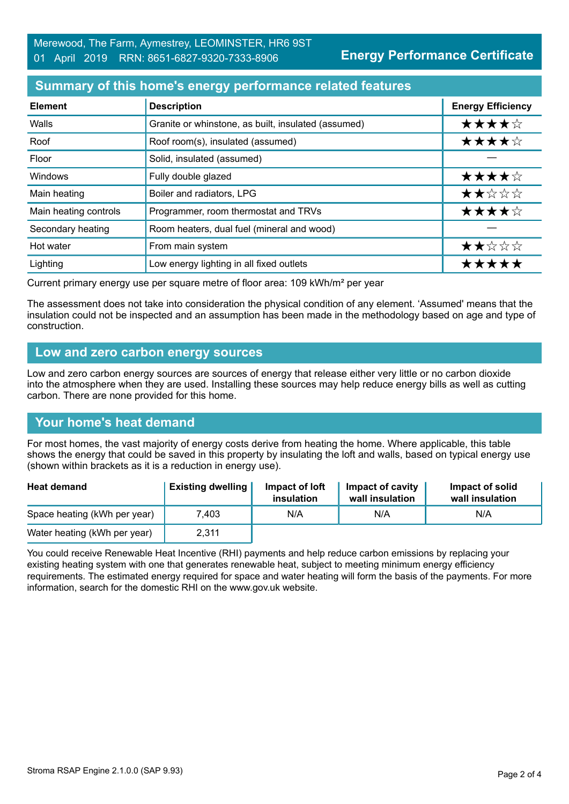## **Summary of this home's energy performance related features**

| <b>Element</b>        | <b>Description</b>                                  | <b>Energy Efficiency</b> |
|-----------------------|-----------------------------------------------------|--------------------------|
| Walls                 | Granite or whinstone, as built, insulated (assumed) | ★★★★☆                    |
| Roof                  | Roof room(s), insulated (assumed)                   | ★★★★☆                    |
| Floor                 | Solid, insulated (assumed)                          |                          |
| Windows               | Fully double glazed                                 | ★★★★☆                    |
| Main heating          | Boiler and radiators, LPG                           | ★★☆☆☆                    |
| Main heating controls | Programmer, room thermostat and TRVs                | ★★★★☆                    |
| Secondary heating     | Room heaters, dual fuel (mineral and wood)          |                          |
| Hot water             | From main system                                    | ★★☆☆☆                    |
| Lighting              | Low energy lighting in all fixed outlets            | *****                    |

Current primary energy use per square metre of floor area: 109 kWh/m² per year

The assessment does not take into consideration the physical condition of any element. 'Assumed' means that the insulation could not be inspected and an assumption has been made in the methodology based on age and type of construction.

#### **Low and zero carbon energy sources**

Low and zero carbon energy sources are sources of energy that release either very little or no carbon dioxide into the atmosphere when they are used. Installing these sources may help reduce energy bills as well as cutting carbon. There are none provided for this home.

#### **Your home's heat demand**

For most homes, the vast majority of energy costs derive from heating the home. Where applicable, this table shows the energy that could be saved in this property by insulating the loft and walls, based on typical energy use (shown within brackets as it is a reduction in energy use).

| <b>Heat demand</b>           | <b>Existing dwelling</b> | Impact of loft<br>insulation | Impact of cavity<br>wall insulation | Impact of solid<br>wall insulation |
|------------------------------|--------------------------|------------------------------|-------------------------------------|------------------------------------|
| Space heating (kWh per year) | 7.403                    | N/A                          | N/A                                 | N/A                                |
| Water heating (kWh per year) | 2,311                    |                              |                                     |                                    |

You could receive Renewable Heat Incentive (RHI) payments and help reduce carbon emissions by replacing your existing heating system with one that generates renewable heat, subject to meeting minimum energy efficiency requirements. The estimated energy required for space and water heating will form the basis of the payments. For more information, search for the domestic RHI on the www.gov.uk website.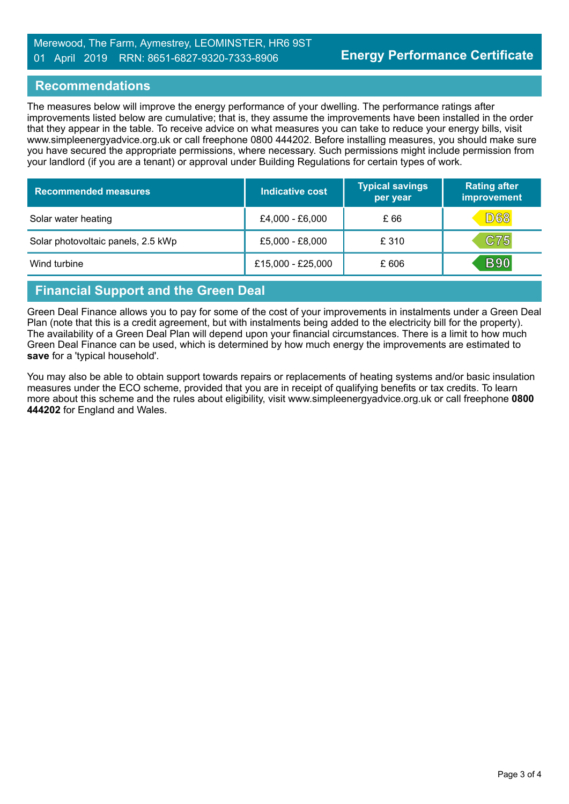#### Merewood, The Farm, Aymestrey, LEOMINSTER, HR6 9ST 01 April 2019 RRN: 8651-6827-9320-7333-8906

## **Recommendations**

The measures below will improve the energy performance of your dwelling. The performance ratings after improvements listed below are cumulative; that is, they assume the improvements have been installed in the order that they appear in the table. To receive advice on what measures you can take to reduce your energy bills, visit www.simpleenergyadvice.org.uk or call freephone 0800 444202. Before installing measures, you should make sure you have secured the appropriate permissions, where necessary. Such permissions might include permission from your landlord (if you are a tenant) or approval under Building Regulations for certain types of work.

| <b>Recommended measures</b>        | Indicative cost   | <b>Typical savings</b><br>per year | <b>Rating after</b><br>improvement |
|------------------------------------|-------------------|------------------------------------|------------------------------------|
| Solar water heating                | £4,000 - £6,000   | £66                                | <b>D68</b>                         |
| Solar photovoltaic panels, 2.5 kWp | £5,000 - £8,000   | £ 310                              | <b>C75</b>                         |
| Wind turbine                       | £15,000 - £25,000 | £606                               | <b>B90</b>                         |

# **Financial Support and the Green Deal**

Green Deal Finance allows you to pay for some of the cost of your improvements in instalments under a Green Deal Plan (note that this is a credit agreement, but with instalments being added to the electricity bill for the property). The availability of a Green Deal Plan will depend upon your financial circumstances. There is a limit to how much Green Deal Finance can be used, which is determined by how much energy the improvements are estimated to **save** for a 'typical household'.

You may also be able to obtain support towards repairs or replacements of heating systems and/or basic insulation measures under the ECO scheme, provided that you are in receipt of qualifying benefits or tax credits. To learn more about this scheme and the rules about eligibility, visit www.simpleenergyadvice.org.uk or call freephone **0800 444202** for England and Wales.